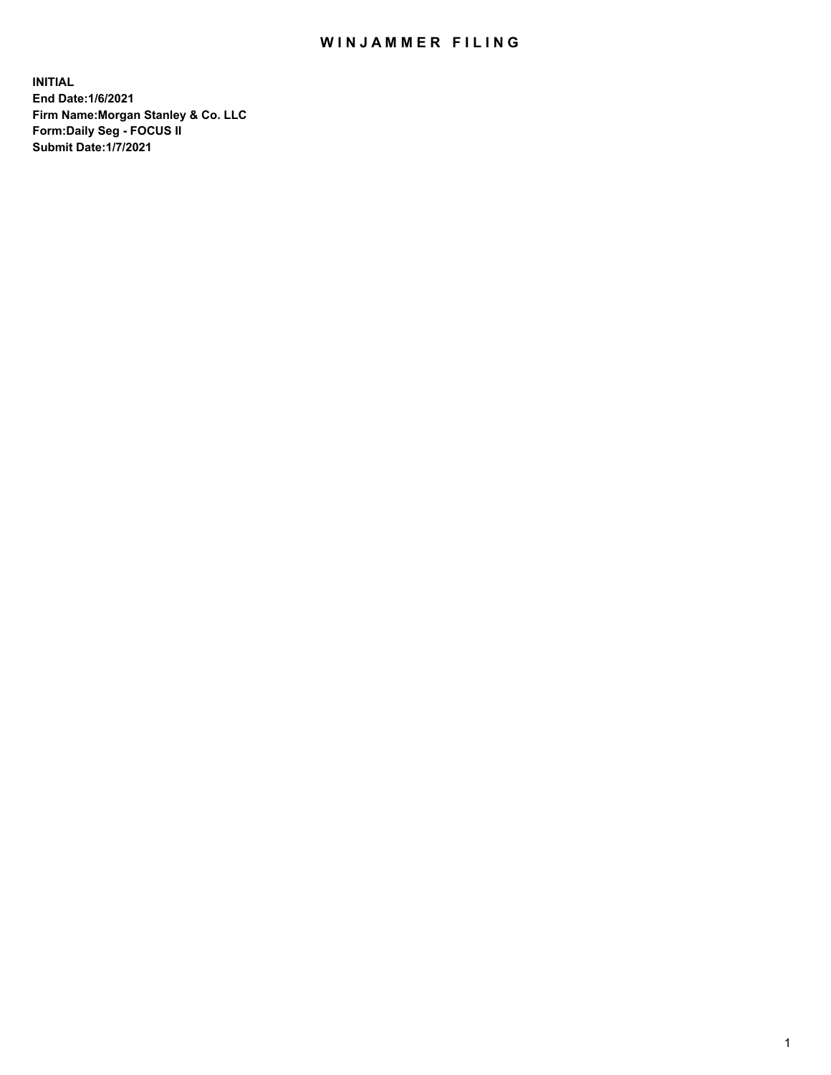## WIN JAMMER FILING

**INITIAL End Date:1/6/2021 Firm Name:Morgan Stanley & Co. LLC Form:Daily Seg - FOCUS II Submit Date:1/7/2021**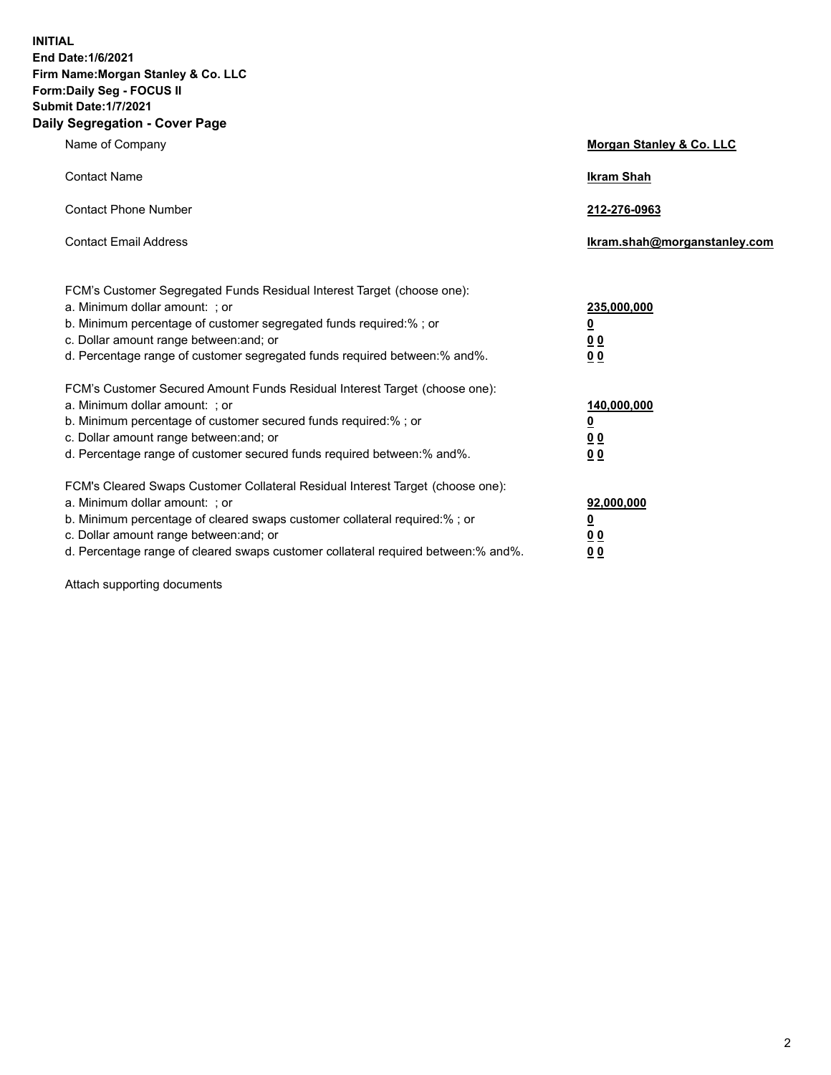**INITIAL End Date:1/6/2021 Firm Name:Morgan Stanley & Co. LLC Form:Daily Seg - FOCUS II Submit Date:1/7/2021 Daily Segregation - Cover Page**

| Name of Company                                                                   | Morgan Stanley & Co. LLC     |
|-----------------------------------------------------------------------------------|------------------------------|
| <b>Contact Name</b>                                                               | <b>Ikram Shah</b>            |
| <b>Contact Phone Number</b>                                                       | 212-276-0963                 |
| <b>Contact Email Address</b>                                                      | Ikram.shah@morganstanley.com |
| FCM's Customer Segregated Funds Residual Interest Target (choose one):            |                              |
| a. Minimum dollar amount: ; or                                                    | 235,000,000                  |
| b. Minimum percentage of customer segregated funds required:% ; or                | <u>0</u>                     |
| c. Dollar amount range between: and; or                                           | 0 Q                          |
| d. Percentage range of customer segregated funds required between:% and%.         | 0 Q                          |
| FCM's Customer Secured Amount Funds Residual Interest Target (choose one):        |                              |
| a. Minimum dollar amount: ; or                                                    | 140,000,000                  |
| b. Minimum percentage of customer secured funds required:%; or                    | <u>0</u>                     |
| c. Dollar amount range between: and; or                                           | <u>0 0</u>                   |
| d. Percentage range of customer secured funds required between:% and%.            | 0 Q                          |
| FCM's Cleared Swaps Customer Collateral Residual Interest Target (choose one):    |                              |
| a. Minimum dollar amount: ; or                                                    | 92,000,000                   |
| b. Minimum percentage of cleared swaps customer collateral required:% ; or        | <u>0</u>                     |
| c. Dollar amount range between: and; or                                           | 0 <sup>0</sup>               |
| d. Percentage range of cleared swaps customer collateral required between:% and%. | 0 <sub>0</sub>               |

Attach supporting documents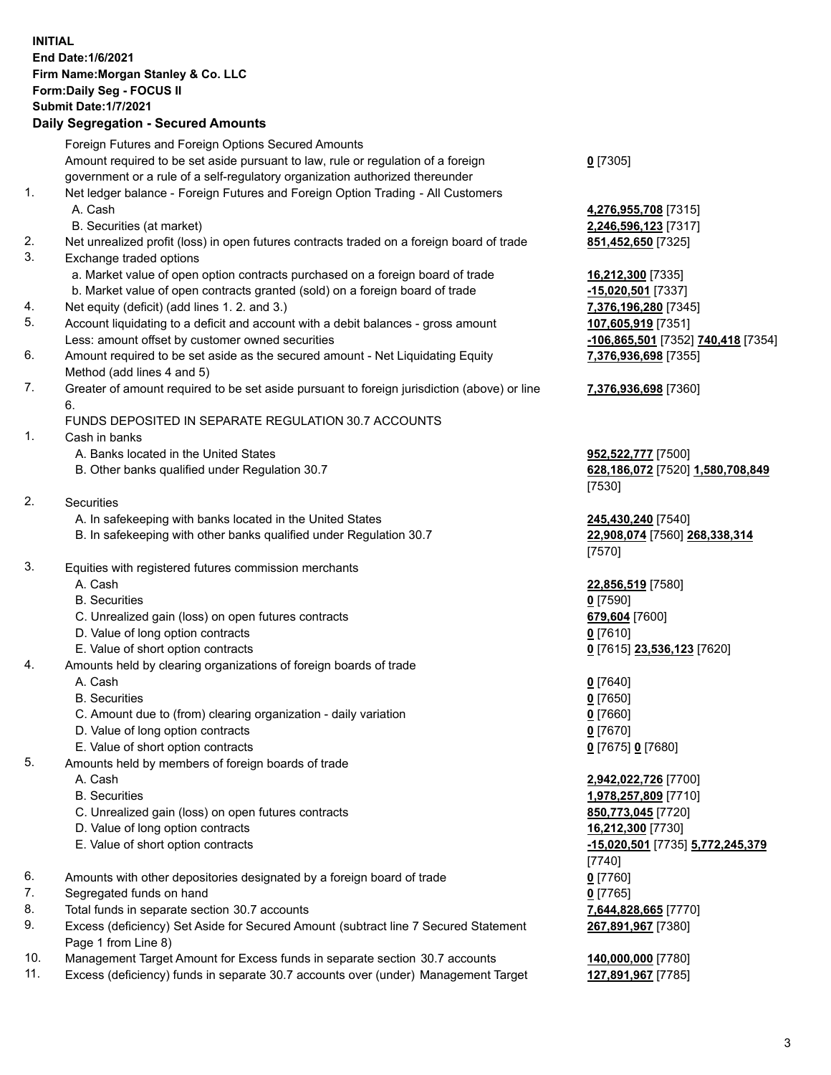## **INITIAL End Date:1/6/2021 Firm Name:Morgan Stanley & Co. LLC Form:Daily Seg - FOCUS II Submit Date:1/7/2021 Daily Segregation - Secured Amounts** Foreign Futures and Foreign Options Secured Amounts Amount required to be set aside pursuant to law, rule or regulation of a foreign government or a rule of a self-regulatory organization authorized thereunder 1. Net ledger balance - Foreign Futures and Foreign Option Trading - All Customers A. Cash **4,276,955,708** [7315] B. Securities (at market) **2,246,596,123** [7317] 2. Net unrealized profit (loss) in open futures contracts traded on a foreign board of trade **851,452,650** [7325] 3. Exchange traded options a. Market value of open option contracts purchased on a foreign board of trade **16,212,300** [7335] b. Market value of open contracts granted (sold) on a foreign board of trade **-15,020,501** [7337] 4. Net equity (deficit) (add lines 1. 2. and 3.) **7,376,196,280** [7345] 5. Account liquidating to a deficit and account with a debit balances - gross amount **107,605,919** [7351] Less: amount offset by customer owned securities **-106,865,501** [7352] **740,418** [7354] 6. Amount required to be set aside as the secured amount - Net Liquidating Equity Method (add lines 4 and 5) 7. Greater of amount required to be set aside pursuant to foreign jurisdiction (above) or line 6. FUNDS DEPOSITED IN SEPARATE REGULATION 30.7 ACCOUNTS 1. Cash in banks A. Banks located in the United States **952,522,777** [7500] B. Other banks qualified under Regulation 30.7 **628,186,072** [7520] **1,580,708,849** 2. Securities A. In safekeeping with banks located in the United States **245,430,240** [7540] B. In safekeeping with other banks qualified under Regulation 30.7 **22,908,074** [7560] **268,338,314** 3. Equities with registered futures commission merchants A. Cash **22,856,519** [7580] B. Securities **0** [7590] C. Unrealized gain (loss) on open futures contracts **679,604** [7600] D. Value of long option contracts **0** [7610] E. Value of short option contracts **0** [7615] **23,536,123** [7620] 4. Amounts held by clearing organizations of foreign boards of trade A. Cash **0** [7640] B. Securities **0** [7650] C. Amount due to (from) clearing organization - daily variation **0** [7660] D. Value of long option contracts **0** [7670] E. Value of short option contracts **0** [7675] **0** [7680] 5. Amounts held by members of foreign boards of trade A. Cash **2,942,022,726** [7700] B. Securities **1,978,257,809** [7710] C. Unrealized gain (loss) on open futures contracts **850,773,045** [7720] D. Value of long option contracts **16,212,300** [7730] E. Value of short option contracts **-15,020,501** [7735] **5,772,245,379** 6. Amounts with other depositories designated by a foreign board of trade **0** [7760] 7. Segregated funds on hand **0** [7765] 8. Total funds in separate section 30.7 accounts **7,644,828,665** [7770]

- 9. Excess (deficiency) Set Aside for Secured Amount (subtract line 7 Secured Statement Page 1 from Line 8)
- 10. Management Target Amount for Excess funds in separate section 30.7 accounts **140,000,000** [7780]
- 11. Excess (deficiency) funds in separate 30.7 accounts over (under) Management Target **127,891,967** [7785]

**0** [7305]

**7,376,936,698** [7355]

## **7,376,936,698** [7360]

[7530]

[7570]

[7740] **267,891,967** [7380]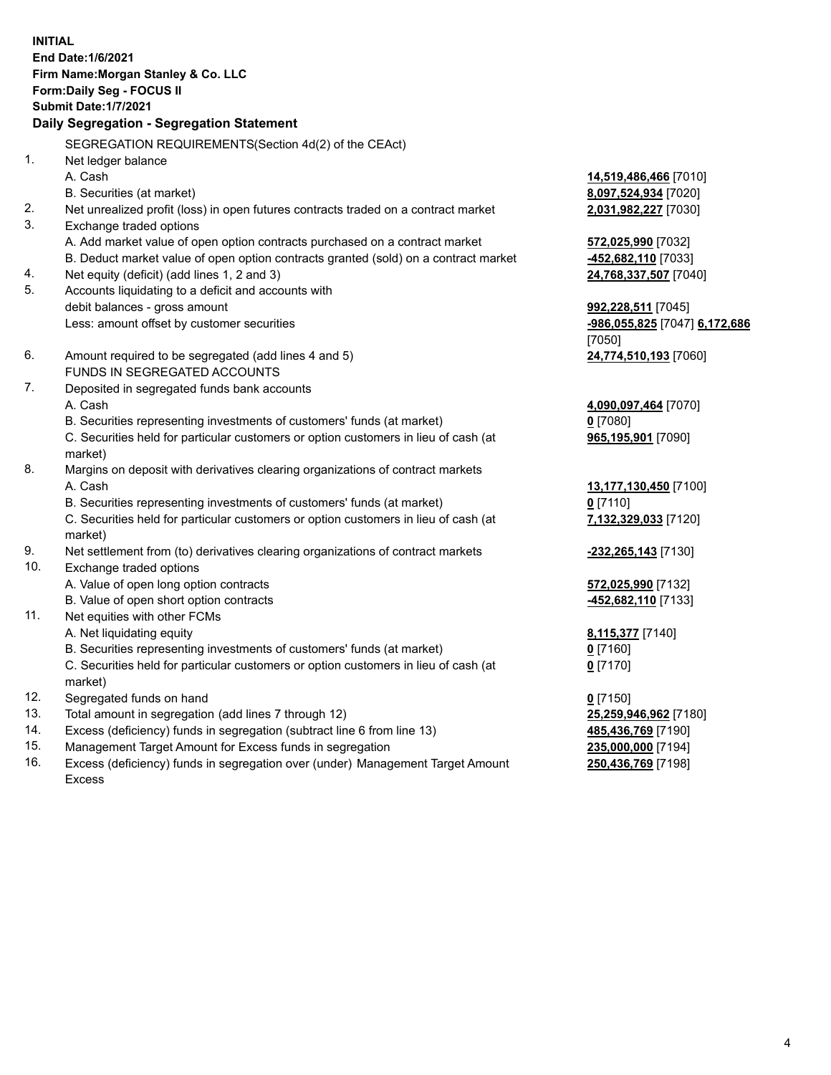**INITIAL End Date:1/6/2021 Firm Name:Morgan Stanley & Co. LLC Form:Daily Seg - FOCUS II Submit Date:1/7/2021 Daily Segregation - Segregation Statement** SEGREGATION REQUIREMENTS(Section 4d(2) of the CEAct) 1. Net ledger balance A. Cash **14,519,486,466** [7010] B. Securities (at market) **8,097,524,934** [7020] 2. Net unrealized profit (loss) in open futures contracts traded on a contract market **2,031,982,227** [7030] 3. Exchange traded options A. Add market value of open option contracts purchased on a contract market **572,025,990** [7032] B. Deduct market value of open option contracts granted (sold) on a contract market **-452,682,110** [7033] 4. Net equity (deficit) (add lines 1, 2 and 3) **24,768,337,507** [7040] 5. Accounts liquidating to a deficit and accounts with debit balances - gross amount **992,228,511** [7045] Less: amount offset by customer securities **-986,055,825** [7047] **6,172,686** [7050] 6. Amount required to be segregated (add lines 4 and 5) **24,774,510,193** [7060] FUNDS IN SEGREGATED ACCOUNTS 7. Deposited in segregated funds bank accounts A. Cash **4,090,097,464** [7070] B. Securities representing investments of customers' funds (at market) **0** [7080] C. Securities held for particular customers or option customers in lieu of cash (at market) **965,195,901** [7090] 8. Margins on deposit with derivatives clearing organizations of contract markets A. Cash **13,177,130,450** [7100] B. Securities representing investments of customers' funds (at market) **0** [7110] C. Securities held for particular customers or option customers in lieu of cash (at market) **7,132,329,033** [7120] 9. Net settlement from (to) derivatives clearing organizations of contract markets **-232,265,143** [7130] 10. Exchange traded options A. Value of open long option contracts **572,025,990** [7132] B. Value of open short option contracts **-452,682,110** [7133] 11. Net equities with other FCMs A. Net liquidating equity **8,115,377** [7140] B. Securities representing investments of customers' funds (at market) **0** [7160] C. Securities held for particular customers or option customers in lieu of cash (at market) **0** [7170] 12. Segregated funds on hand **0** [7150] 13. Total amount in segregation (add lines 7 through 12) **25,259,946,962** [7180] 14. Excess (deficiency) funds in segregation (subtract line 6 from line 13) **485,436,769** [7190]

- 15. Management Target Amount for Excess funds in segregation **235,000,000** [7194]
- 16. Excess (deficiency) funds in segregation over (under) Management Target Amount Excess

**250,436,769** [7198]